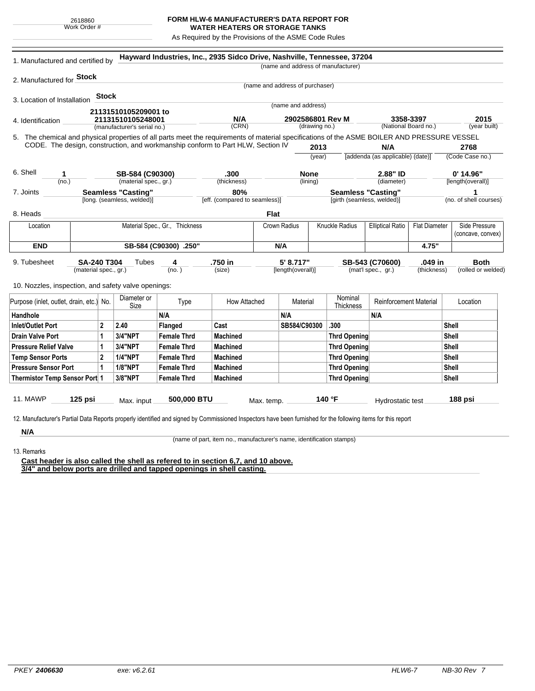## **FORM HLW-6 MANUFACTURER'S DATA REPORT FOR WATER HEATERS OR STORAGE TANKS**

As Required by the Provisions of the ASME Code Rules

| 1. Manufactured and certified by                                                                                                             |                                          |                           |                    | Hayward Industries, Inc., 2935 Sidco Drive, Nashville, Tennessee, 37204 |                      |                                                                        | (name and address of manufacturer) |                                                 |                  |                                  |                                   |  |
|----------------------------------------------------------------------------------------------------------------------------------------------|------------------------------------------|---------------------------|--------------------|-------------------------------------------------------------------------|----------------------|------------------------------------------------------------------------|------------------------------------|-------------------------------------------------|------------------|----------------------------------|-----------------------------------|--|
|                                                                                                                                              |                                          |                           |                    |                                                                         |                      |                                                                        |                                    |                                                 |                  |                                  |                                   |  |
| 2. Manufactured for Stock                                                                                                                    |                                          |                           |                    |                                                                         |                      | (name and address of purchaser)                                        |                                    |                                                 |                  |                                  |                                   |  |
| 3. Location of Installation                                                                                                                  | <b>Stock</b>                             |                           |                    |                                                                         |                      |                                                                        |                                    |                                                 |                  |                                  |                                   |  |
|                                                                                                                                              |                                          |                           |                    |                                                                         |                      | (name and address)                                                     |                                    |                                                 |                  |                                  |                                   |  |
| 21131510105209001 to<br>21131510105248001<br>4. Identification                                                                               |                                          |                           | N/A                |                                                                         |                      | 2902586801 Rev M<br>3358-3397<br>(National Board no.)<br>(drawing no.) |                                    |                                                 |                  | 2015                             |                                   |  |
| (manufacturer's serial no.)                                                                                                                  |                                          |                           |                    | (CRN)                                                                   |                      |                                                                        |                                    |                                                 | (year built)     |                                  |                                   |  |
| 5. The chemical and physical properties of all parts meet the requirements of material specifications of the ASME BOILER AND PRESSURE VESSEL |                                          |                           |                    |                                                                         |                      |                                                                        |                                    |                                                 |                  |                                  |                                   |  |
| CODE. The design, construction, and workmanship conform to Part HLW, Section IV                                                              |                                          |                           |                    |                                                                         |                      | 2013                                                                   |                                    | N/A                                             |                  |                                  | 2768                              |  |
|                                                                                                                                              |                                          |                           |                    |                                                                         | (year)               |                                                                        |                                    | [addenda (as applicable) (date)]                |                  | (Code Case no.)                  |                                   |  |
| 6. Shell<br>1                                                                                                                                |                                          |                           |                    | .300                                                                    |                      |                                                                        |                                    | 2.88" ID                                        |                  |                                  |                                   |  |
| (no.)                                                                                                                                        | SB-584 (C90300)<br>(material spec., gr.) |                           |                    | (thickness)                                                             |                      | <b>None</b><br>(lining)                                                |                                    | (diameter)                                      |                  | $0'$ 14.96"<br>[length(overall)] |                                   |  |
| 7. Joints                                                                                                                                    |                                          | <b>Seamless "Casting"</b> |                    | 80%                                                                     |                      |                                                                        |                                    | <b>Seamless "Casting"</b>                       |                  | 1                                |                                   |  |
|                                                                                                                                              | [long. (seamless, welded)]               |                           |                    | [eff. (compared to seamless)]                                           |                      | [girth (seamless, welded)]                                             |                                    |                                                 |                  | (no. of shell courses)           |                                   |  |
| 8. Heads                                                                                                                                     |                                          |                           |                    |                                                                         | <b>Flat</b>          |                                                                        |                                    |                                                 |                  |                                  |                                   |  |
| Material Spec., Gr., Thickness<br>Location                                                                                                   |                                          |                           |                    |                                                                         |                      | Crown Radius<br>Knuckle Radius                                         |                                    | <b>Elliptical Ratio</b><br><b>Flat Diameter</b> |                  |                                  | Side Pressure                     |  |
|                                                                                                                                              |                                          |                           |                    |                                                                         |                      |                                                                        |                                    |                                                 |                  |                                  | (concave, convex)                 |  |
| <b>END</b>                                                                                                                                   | SB-584 (C90300) .250"                    |                           |                    |                                                                         | N/A                  |                                                                        |                                    |                                                 | 4.75"            |                                  |                                   |  |
|                                                                                                                                              |                                          |                           |                    |                                                                         |                      |                                                                        |                                    |                                                 | .049 in          |                                  |                                   |  |
| 9. Tubesheet<br><b>SA-240 T304</b><br>Tubes<br>(material spec., gr.)                                                                         |                                          |                           | 4<br>(no.)         | .750 in<br>(size)                                                       |                      | 5' 8.717"<br>[length(overall)]                                         |                                    | SB-543 (C70600)<br>(mat'l spec., gr.)           |                  | (thickness)                      | <b>Both</b><br>(rolled or welded) |  |
|                                                                                                                                              |                                          |                           |                    |                                                                         |                      |                                                                        |                                    |                                                 |                  |                                  |                                   |  |
| 10. Nozzles, inspection, and safety valve openings:                                                                                          |                                          |                           |                    |                                                                         |                      |                                                                        |                                    |                                                 |                  |                                  |                                   |  |
| Purpose (inlet, outlet, drain, etc.) No.                                                                                                     | Diameter or                              |                           | Type               | How Attached                                                            |                      | Material                                                               | Nominal                            | <b>Reinforcement Material</b>                   |                  |                                  | Location                          |  |
| Handhole                                                                                                                                     |                                          | Size                      | N/A                |                                                                         |                      | N/A                                                                    | Thickness                          | N/A                                             |                  |                                  |                                   |  |
| <b>Inlet/Outlet Port</b>                                                                                                                     | $\mathbf{2}$                             | 2.40                      | Flanged            | Cast                                                                    | SB584/C90300<br>.300 |                                                                        |                                    | Shell                                           |                  |                                  |                                   |  |
| <b>Drain Valve Port</b><br>$\mathbf 1$                                                                                                       |                                          | <b>3/4"NPT</b>            | <b>Female Thrd</b> | Machined                                                                |                      |                                                                        | <b>Thrd Opening</b>                |                                                 |                  | Shell                            |                                   |  |
| <b>Pressure Relief Valve</b>                                                                                                                 | 1                                        | 3/4"NPT                   | <b>Female Thrd</b> | <b>Machined</b>                                                         |                      |                                                                        | <b>Thrd Opening</b>                |                                                 |                  | Shell                            |                                   |  |
| <b>Temp Sensor Ports</b>                                                                                                                     | $\mathbf{2}$                             | <b>1/4"NPT</b>            | <b>Female Thrd</b> | <b>Machined</b>                                                         |                      | <b>Thrd Opening</b>                                                    |                                    |                                                 |                  | Shell                            |                                   |  |
| <b>Pressure Sensor Port</b><br>$\mathbf{1}$                                                                                                  |                                          | <b>1/8"NPT</b>            | <b>Female Thrd</b> | <b>Machined</b>                                                         |                      |                                                                        | <b>Thrd Opening</b>                |                                                 |                  |                                  | <b>Shell</b>                      |  |
| Thermistor Temp Sensor Port 1                                                                                                                |                                          | 3/8"NPT                   | <b>Female Thrd</b> | <b>Machined</b>                                                         |                      | <b>Thrd Opening</b>                                                    |                                    |                                                 |                  | <b>Shell</b>                     |                                   |  |
|                                                                                                                                              |                                          |                           |                    |                                                                         |                      |                                                                        |                                    |                                                 |                  |                                  |                                   |  |
| <b>11. MAWP</b><br>125 psi                                                                                                                   | Max. input                               |                           | 500,000 BTU        |                                                                         |                      |                                                                        | 140 $\degree$ F                    |                                                 |                  |                                  |                                   |  |
|                                                                                                                                              |                                          |                           |                    |                                                                         | Max. temp.           |                                                                        |                                    |                                                 | Hydrostatic test |                                  | 188 psi                           |  |

**N/A** 13. Remarks

(name of part, item no., manufacturer's name, identification stamps)

**Cast header is also called the shell as refered to in section 6,7, and 10 above. 3/4" and below ports are drilled and tapped openings in shell casting.**